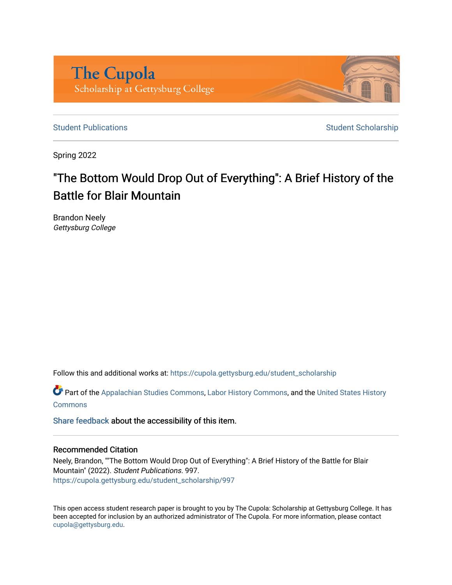

[Student Publications](https://cupola.gettysburg.edu/student_scholarship) **Student Scholarship** Student Scholarship

Spring 2022

# "The Bottom Would Drop Out of Everything": A Brief History of the Battle for Blair Mountain

Brandon Neely Gettysburg College

Follow this and additional works at: [https://cupola.gettysburg.edu/student\\_scholarship](https://cupola.gettysburg.edu/student_scholarship?utm_source=cupola.gettysburg.edu%2Fstudent_scholarship%2F997&utm_medium=PDF&utm_campaign=PDFCoverPages) 

**Part of the [Appalachian Studies Commons,](https://network.bepress.com/hgg/discipline/1253?utm_source=cupola.gettysburg.edu%2Fstudent_scholarship%2F997&utm_medium=PDF&utm_campaign=PDFCoverPages) [Labor History Commons,](https://network.bepress.com/hgg/discipline/1254?utm_source=cupola.gettysburg.edu%2Fstudent_scholarship%2F997&utm_medium=PDF&utm_campaign=PDFCoverPages) and the [United States History](https://network.bepress.com/hgg/discipline/495?utm_source=cupola.gettysburg.edu%2Fstudent_scholarship%2F997&utm_medium=PDF&utm_campaign=PDFCoverPages) [Commons](https://network.bepress.com/hgg/discipline/495?utm_source=cupola.gettysburg.edu%2Fstudent_scholarship%2F997&utm_medium=PDF&utm_campaign=PDFCoverPages)** 

[Share feedback](https://docs.google.com/a/bepress.com/forms/d/1h9eEcpBPj5POs5oO6Y5A0blXRmZqykoonyYiZUNyEq8/viewform) about the accessibility of this item.

#### Recommended Citation

Neely, Brandon, ""The Bottom Would Drop Out of Everything": A Brief History of the Battle for Blair Mountain" (2022). Student Publications. 997. [https://cupola.gettysburg.edu/student\\_scholarship/997](https://cupola.gettysburg.edu/student_scholarship/997?utm_source=cupola.gettysburg.edu%2Fstudent_scholarship%2F997&utm_medium=PDF&utm_campaign=PDFCoverPages)

This open access student research paper is brought to you by The Cupola: Scholarship at Gettysburg College. It has been accepted for inclusion by an authorized administrator of The Cupola. For more information, please contact [cupola@gettysburg.edu.](mailto:cupola@gettysburg.edu)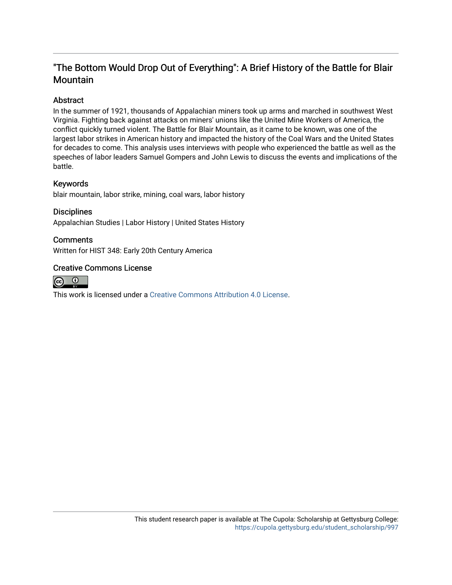### "The Bottom Would Drop Out of Everything": A Brief History of the Battle for Blair **Mountain**

#### Abstract

In the summer of 1921, thousands of Appalachian miners took up arms and marched in southwest West Virginia. Fighting back against attacks on miners' unions like the United Mine Workers of America, the conflict quickly turned violent. The Battle for Blair Mountain, as it came to be known, was one of the largest labor strikes in American history and impacted the history of the Coal Wars and the United States for decades to come. This analysis uses interviews with people who experienced the battle as well as the speeches of labor leaders Samuel Gompers and John Lewis to discuss the events and implications of the battle.

#### Keywords

blair mountain, labor strike, mining, coal wars, labor history

## **Disciplines**

Appalachian Studies | Labor History | United States History

#### **Comments**

Written for HIST 348: Early 20th Century America

#### Creative Commons License



This work is licensed under a [Creative Commons Attribution 4.0 License](https://creativecommons.org/licenses/by/4.0/).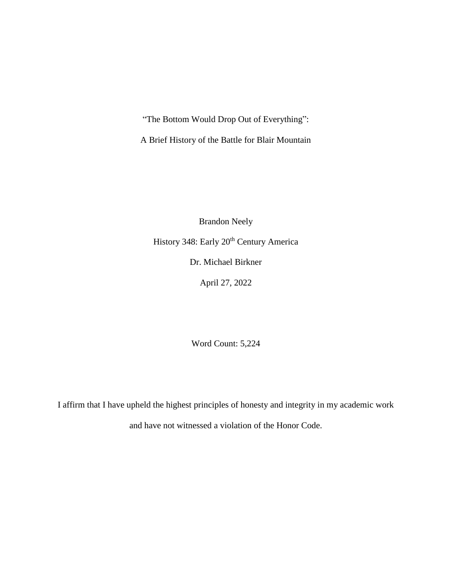"The Bottom Would Drop Out of Everything":

A Brief History of the Battle for Blair Mountain

Brandon Neely History 348: Early 20<sup>th</sup> Century America Dr. Michael Birkner April 27, 2022

Word Count: 5,224

I affirm that I have upheld the highest principles of honesty and integrity in my academic work and have not witnessed a violation of the Honor Code.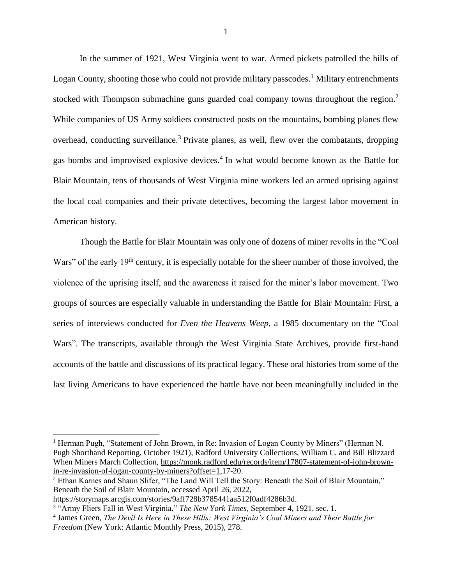In the summer of 1921, West Virginia went to war. Armed pickets patrolled the hills of Logan County, shooting those who could not provide military passcodes.<sup>1</sup> Military entrenchments stocked with Thompson submachine guns guarded coal company towns throughout the region.<sup>2</sup> While companies of US Army soldiers constructed posts on the mountains, bombing planes flew overhead, conducting surveillance.<sup>3</sup> Private planes, as well, flew over the combatants, dropping gas bombs and improvised explosive devices.<sup>4</sup> In what would become known as the Battle for Blair Mountain, tens of thousands of West Virginia mine workers led an armed uprising against the local coal companies and their private detectives, becoming the largest labor movement in American history.

Though the Battle for Blair Mountain was only one of dozens of miner revolts in the "Coal Wars" of the early 19<sup>th</sup> century, it is especially notable for the sheer number of those involved, the violence of the uprising itself, and the awareness it raised for the miner's labor movement. Two groups of sources are especially valuable in understanding the Battle for Blair Mountain: First, a series of interviews conducted for *Even the Heavens Weep*, a 1985 documentary on the "Coal Wars". The transcripts, available through the West Virginia State Archives, provide first-hand accounts of the battle and discussions of its practical legacy. These oral histories from some of the last living Americans to have experienced the battle have not been meaningfully included in the

<sup>2</sup> Ethan Karnes and Shaun Slifer, "The Land Will Tell the Story: Beneath the Soil of Blair Mountain," Beneath the Soil of Blair Mountain, accessed April 26, 2022,

[https://storymaps.arcgis.com/stories/9aff728b3785441aa512f0adf4286b3d.](https://storymaps.arcgis.com/stories/9aff728b3785441aa512f0adf4286b3d)

<sup>&</sup>lt;sup>1</sup> Herman Pugh, "Statement of John Brown, in Re: Invasion of Logan County by Miners" (Herman N. Pugh Shorthand Reporting, October 1921), Radford University Collections, William C. and Bill Blizzard When Miners March Collection[, https://monk.radford.edu/records/item/17807-statement-of-john-brown](https://monk.radford.edu/records/item/17807-statement-of-john-brown-in-re-invasion-of-logan-county-by-miners?offset=1)[in-re-invasion-of-logan-county-by-miners?offset=1,](https://monk.radford.edu/records/item/17807-statement-of-john-brown-in-re-invasion-of-logan-county-by-miners?offset=1)17-20.

<sup>&</sup>lt;sup>3</sup> "Army Fliers Fall in West Virginia," *The New York Times*, September 4, 1921, sec. 1.

<sup>4</sup> James Green, *The Devil Is Here in These Hills: West Virginia's Coal Miners and Their Battle for Freedom* (New York: Atlantic Monthly Press, 2015), 278.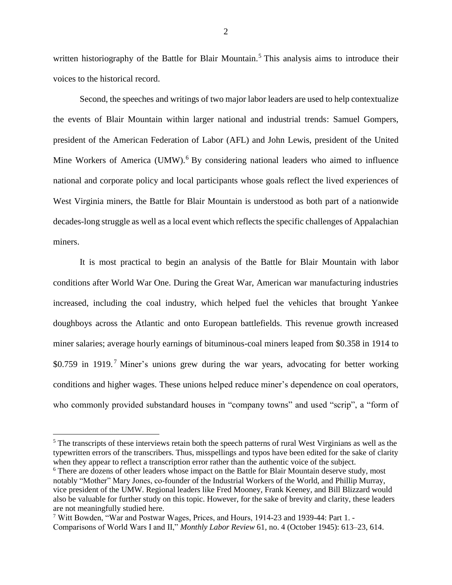written historiography of the Battle for Blair Mountain.<sup>5</sup> This analysis aims to introduce their voices to the historical record.

Second, the speeches and writings of two major labor leaders are used to help contextualize the events of Blair Mountain within larger national and industrial trends: Samuel Gompers, president of the American Federation of Labor (AFL) and John Lewis, president of the United Mine Workers of America (UMW).<sup>6</sup> By considering national leaders who aimed to influence national and corporate policy and local participants whose goals reflect the lived experiences of West Virginia miners, the Battle for Blair Mountain is understood as both part of a nationwide decades-long struggle as well as a local event which reflects the specific challenges of Appalachian miners.

It is most practical to begin an analysis of the Battle for Blair Mountain with labor conditions after World War One. During the Great War, American war manufacturing industries increased, including the coal industry, which helped fuel the vehicles that brought Yankee doughboys across the Atlantic and onto European battlefields. This revenue growth increased miner salaries; average hourly earnings of bituminous-coal miners leaped from \$0.358 in 1914 to \$0.759 in 1919.<sup>7</sup> Miner's unions grew during the war years, advocating for better working conditions and higher wages. These unions helped reduce miner's dependence on coal operators, who commonly provided substandard houses in "company towns" and used "scrip", a "form of

<sup>&</sup>lt;sup>5</sup> The transcripts of these interviews retain both the speech patterns of rural West Virginians as well as the typewritten errors of the transcribers. Thus, misspellings and typos have been edited for the sake of clarity when they appear to reflect a transcription error rather than the authentic voice of the subject.

<sup>&</sup>lt;sup>6</sup> There are dozens of other leaders whose impact on the Battle for Blair Mountain deserve study, most notably "Mother" Mary Jones, co-founder of the Industrial Workers of the World, and Phillip Murray, vice president of the UMW. Regional leaders like Fred Mooney, Frank Keeney, and Bill Blizzard would also be valuable for further study on this topic. However, for the sake of brevity and clarity, these leaders are not meaningfully studied here.

<sup>7</sup> Witt Bowden, "War and Postwar Wages, Prices, and Hours, 1914-23 and 1939-44: Part 1. - Comparisons of World Wars I and II," *Monthly Labor Review* 61, no. 4 (October 1945): 613–23, 614.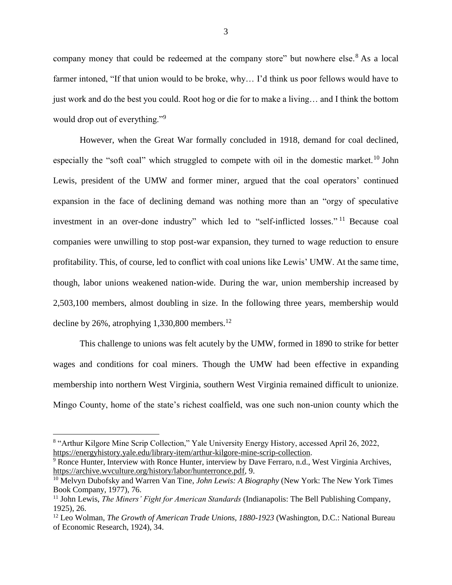company money that could be redeemed at the company store" but nowhere else.<sup>8</sup> As a local farmer intoned, "If that union would to be broke, why… I'd think us poor fellows would have to just work and do the best you could. Root hog or die for to make a living… and I think the bottom would drop out of everything."<sup>9</sup>

However, when the Great War formally concluded in 1918, demand for coal declined, especially the "soft coal" which struggled to compete with oil in the domestic market.<sup>10</sup> John Lewis, president of the UMW and former miner, argued that the coal operators' continued expansion in the face of declining demand was nothing more than an "orgy of speculative investment in an over-done industry" which led to "self-inflicted losses." <sup>11</sup> Because coal companies were unwilling to stop post-war expansion, they turned to wage reduction to ensure profitability. This, of course, led to conflict with coal unions like Lewis' UMW. At the same time, though, labor unions weakened nation-wide. During the war, union membership increased by 2,503,100 members, almost doubling in size. In the following three years, membership would decline by 26%, atrophying 1,330,800 members.<sup>12</sup>

This challenge to unions was felt acutely by the UMW, formed in 1890 to strike for better wages and conditions for coal miners. Though the UMW had been effective in expanding membership into northern West Virginia, southern West Virginia remained difficult to unionize. Mingo County, home of the state's richest coalfield, was one such non-union county which the

<sup>&</sup>lt;sup>8</sup> "Arthur Kilgore Mine Scrip Collection," Yale University Energy History, accessed April 26, 2022, [https://energyhistory.yale.edu/library-item/arthur-kilgore-mine-scrip-collection.](https://energyhistory.yale.edu/library-item/arthur-kilgore-mine-scrip-collection)

<sup>&</sup>lt;sup>9</sup> Ronce Hunter, Interview with Ronce Hunter, interview by Dave Ferraro, n.d., West Virginia Archives, [https://archive.wvculture.org/history/labor/hunterronce.pdf,](https://archive.wvculture.org/history/labor/hunterronce.pdf) 9.

<sup>10</sup> Melvyn Dubofsky and Warren Van Tine, *John Lewis: A Biography* (New York: The New York Times Book Company, 1977), 76.

<sup>&</sup>lt;sup>11</sup> John Lewis, *The Miners' Fight for American Standards* (Indianapolis: The Bell Publishing Company, 1925), 26.

<sup>12</sup> Leo Wolman, *The Growth of American Trade Unions, 1880-1923* (Washington, D.C.: National Bureau of Economic Research, 1924), 34.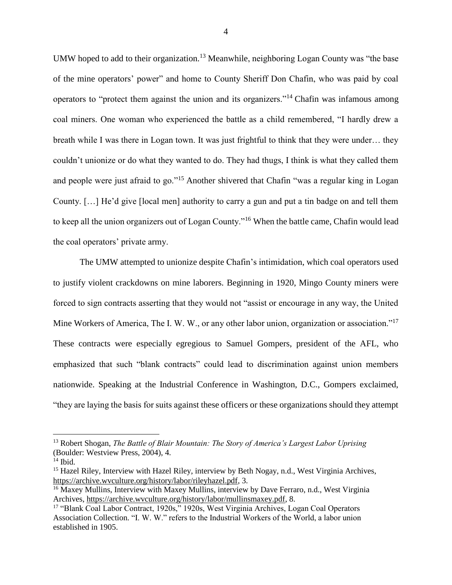UMW hoped to add to their organization.<sup>13</sup> Meanwhile, neighboring Logan County was "the base" of the mine operators' power" and home to County Sheriff Don Chafin, who was paid by coal operators to "protect them against the union and its organizers."<sup>14</sup> Chafin was infamous among coal miners. One woman who experienced the battle as a child remembered, "I hardly drew a breath while I was there in Logan town. It was just frightful to think that they were under… they couldn't unionize or do what they wanted to do. They had thugs, I think is what they called them and people were just afraid to go."<sup>15</sup> Another shivered that Chafin "was a regular king in Logan County. […] He'd give [local men] authority to carry a gun and put a tin badge on and tell them to keep all the union organizers out of Logan County."<sup>16</sup> When the battle came, Chafin would lead the coal operators' private army.

The UMW attempted to unionize despite Chafin's intimidation, which coal operators used to justify violent crackdowns on mine laborers. Beginning in 1920, Mingo County miners were forced to sign contracts asserting that they would not "assist or encourage in any way, the United Mine Workers of America, The I. W. W., or any other labor union, organization or association."<sup>17</sup> These contracts were especially egregious to Samuel Gompers, president of the AFL, who emphasized that such "blank contracts" could lead to discrimination against union members nationwide. Speaking at the Industrial Conference in Washington, D.C., Gompers exclaimed, "they are laying the basis for suits against these officers or these organizations should they attempt

<sup>13</sup> Robert Shogan, *The Battle of Blair Mountain: The Story of America's Largest Labor Uprising* (Boulder: Westview Press, 2004), 4.

 $14$  Ibid.

<sup>&</sup>lt;sup>15</sup> Hazel Riley, Interview with Hazel Riley, interview by Beth Nogay, n.d., West Virginia Archives, [https://archive.wvculture.org/history/labor/rileyhazel.pdf,](https://archive.wvculture.org/history/labor/rileyhazel.pdf) 3.

<sup>&</sup>lt;sup>16</sup> Maxey Mullins, Interview with Maxey Mullins, interview by Dave Ferraro, n.d., West Virginia Archives, [https://archive.wvculture.org/history/labor/mullinsmaxey.pdf,](https://archive.wvculture.org/history/labor/mullinsmaxey.pdf) 8.

<sup>&</sup>lt;sup>17</sup> "Blank Coal Labor Contract, 1920s," 1920s, West Virginia Archives, Logan Coal Operators Association Collection. "I. W. W." refers to the Industrial Workers of the World, a labor union established in 1905.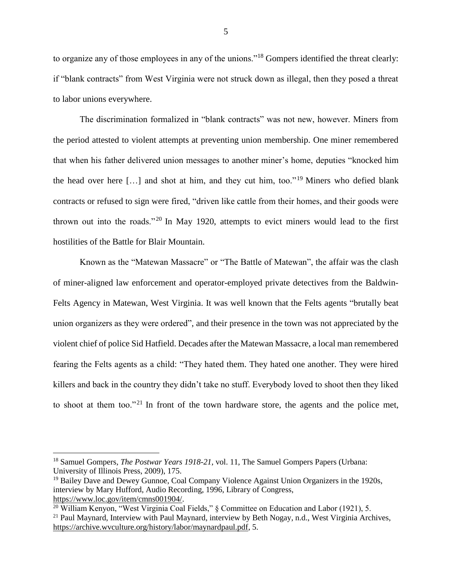to organize any of those employees in any of the unions."<sup>18</sup> Gompers identified the threat clearly: if "blank contracts" from West Virginia were not struck down as illegal, then they posed a threat to labor unions everywhere.

The discrimination formalized in "blank contracts" was not new, however. Miners from the period attested to violent attempts at preventing union membership. One miner remembered that when his father delivered union messages to another miner's home, deputies "knocked him the head over here  $[\dots]$  and shot at him, and they cut him, too."<sup>19</sup> Miners who defied blank contracts or refused to sign were fired, "driven like cattle from their homes, and their goods were thrown out into the roads."<sup>20</sup> In May 1920, attempts to evict miners would lead to the first hostilities of the Battle for Blair Mountain.

Known as the "Matewan Massacre" or "The Battle of Matewan", the affair was the clash of miner-aligned law enforcement and operator-employed private detectives from the Baldwin-Felts Agency in Matewan, West Virginia. It was well known that the Felts agents "brutally beat union organizers as they were ordered", and their presence in the town was not appreciated by the violent chief of police Sid Hatfield. Decades after the Matewan Massacre, a local man remembered fearing the Felts agents as a child: "They hated them. They hated one another. They were hired killers and back in the country they didn't take no stuff. Everybody loved to shoot then they liked to shoot at them too."<sup>21</sup> In front of the town hardware store, the agents and the police met,

<sup>18</sup> Samuel Gompers, *The Postwar Years 1918-21*, vol. 11, The Samuel Gompers Papers (Urbana: University of Illinois Press, 2009), 175.

 $19$  Bailey Dave and Dewey Gunnoe, Coal Company Violence Against Union Organizers in the 1920s, interview by Mary Hufford, Audio Recording, 1996, Library of Congress, [https://www.loc.gov/item/cmns001904/.](https://www.loc.gov/item/cmns001904/)

 $\frac{20 \text{ William} \times \text{S}}{20 \text{ William} \times \text{S}}$  (West Virginia Coal Fields," § Committee on Education and Labor (1921), 5.

<sup>&</sup>lt;sup>21</sup> Paul Maynard, Interview with Paul Maynard, interview by Beth Nogay, n.d., West Virginia Archives, [https://archive.wvculture.org/history/labor/maynardpaul.pdf,](https://archive.wvculture.org/history/labor/maynardpaul.pdf) 5.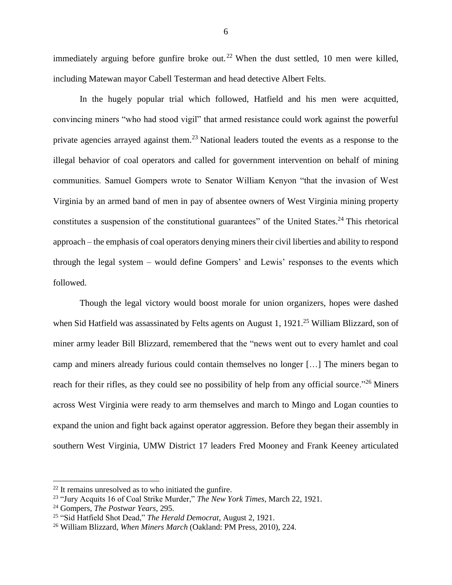immediately arguing before gunfire broke out.<sup>22</sup> When the dust settled, 10 men were killed, including Matewan mayor Cabell Testerman and head detective Albert Felts.

In the hugely popular trial which followed, Hatfield and his men were acquitted, convincing miners "who had stood vigil" that armed resistance could work against the powerful private agencies arrayed against them.<sup>23</sup> National leaders touted the events as a response to the illegal behavior of coal operators and called for government intervention on behalf of mining communities. Samuel Gompers wrote to Senator William Kenyon "that the invasion of West Virginia by an armed band of men in pay of absentee owners of West Virginia mining property constitutes a suspension of the constitutional guarantees" of the United States.<sup>24</sup> This rhetorical approach – the emphasis of coal operators denying miners their civil liberties and ability to respond through the legal system – would define Gompers' and Lewis' responses to the events which followed.

Though the legal victory would boost morale for union organizers, hopes were dashed when Sid Hatfield was assassinated by Felts agents on August 1, 1921.<sup>25</sup> William Blizzard, son of miner army leader Bill Blizzard, remembered that the "news went out to every hamlet and coal camp and miners already furious could contain themselves no longer […] The miners began to reach for their rifles, as they could see no possibility of help from any official source."<sup>26</sup> Miners across West Virginia were ready to arm themselves and march to Mingo and Logan counties to expand the union and fight back against operator aggression. Before they began their assembly in southern West Virginia, UMW District 17 leaders Fred Mooney and Frank Keeney articulated

<sup>22</sup> It remains unresolved as to who initiated the gunfire.

<sup>23</sup> "Jury Acquits 16 of Coal Strike Murder," *The New York Times*, March 22, 1921.

<sup>24</sup> Gompers, *The Postwar Years*, 295.

<sup>25</sup> "Sid Hatfield Shot Dead," *The Herald Democrat*, August 2, 1921.

<sup>26</sup> William Blizzard, *When Miners March* (Oakland: PM Press, 2010), 224.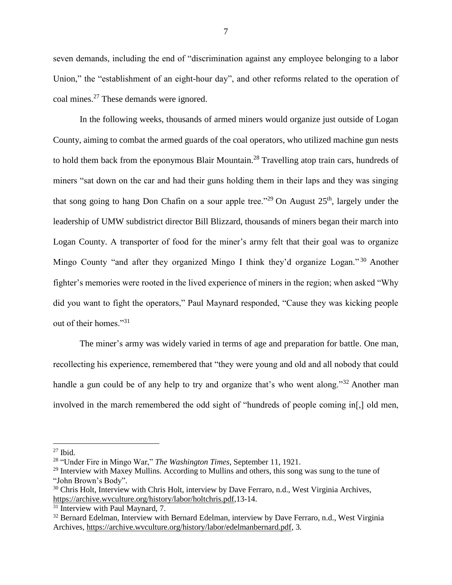seven demands, including the end of "discrimination against any employee belonging to a labor Union," the "establishment of an eight-hour day", and other reforms related to the operation of coal mines.<sup>27</sup> These demands were ignored.

In the following weeks, thousands of armed miners would organize just outside of Logan County, aiming to combat the armed guards of the coal operators, who utilized machine gun nests to hold them back from the eponymous Blair Mountain.<sup>28</sup> Travelling atop train cars, hundreds of miners "sat down on the car and had their guns holding them in their laps and they was singing that song going to hang Don Chafin on a sour apple tree."<sup>29</sup> On August  $25<sup>th</sup>$ , largely under the leadership of UMW subdistrict director Bill Blizzard, thousands of miners began their march into Logan County. A transporter of food for the miner's army felt that their goal was to organize Mingo County "and after they organized Mingo I think they'd organize Logan."<sup>30</sup> Another fighter's memories were rooted in the lived experience of miners in the region; when asked "Why did you want to fight the operators," Paul Maynard responded, "Cause they was kicking people out of their homes."<sup>31</sup>

The miner's army was widely varied in terms of age and preparation for battle. One man, recollecting his experience, remembered that "they were young and old and all nobody that could handle a gun could be of any help to try and organize that's who went along."<sup>32</sup> Another man involved in the march remembered the odd sight of "hundreds of people coming in[,] old men,

 $27$  Ibid.

<sup>28</sup> "Under Fire in Mingo War," *The Washington Times*, September 11, 1921.

<sup>&</sup>lt;sup>29</sup> Interview with Maxey Mullins. According to Mullins and others, this song was sung to the tune of "John Brown's Body".

<sup>&</sup>lt;sup>30</sup> Chris Holt, Interview with Chris Holt, interview by Dave Ferraro, n.d., West Virginia Archives, [https://archive.wvculture.org/history/labor/holtchris.pdf,](https://archive.wvculture.org/history/labor/holtchris.pdf)13-14.

<sup>&</sup>lt;sup>31</sup> Interview with Paul Maynard, 7.

<sup>&</sup>lt;sup>32</sup> Bernard Edelman, Interview with Bernard Edelman, interview by Dave Ferraro, n.d., West Virginia Archives, [https://archive.wvculture.org/history/labor/edelmanbernard.pdf,](https://archive.wvculture.org/history/labor/edelmanbernard.pdf) 3.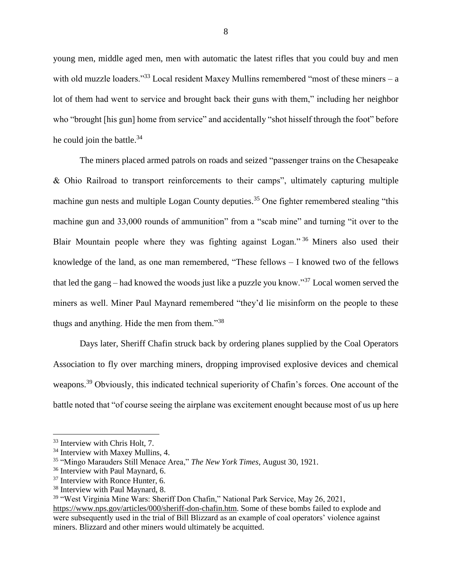young men, middle aged men, men with automatic the latest rifles that you could buy and men with old muzzle loaders."<sup>33</sup> Local resident Maxey Mullins remembered "most of these miners – a lot of them had went to service and brought back their guns with them," including her neighbor who "brought [his gun] home from service" and accidentally "shot hisself through the foot" before he could join the battle. $34$ 

The miners placed armed patrols on roads and seized "passenger trains on the Chesapeake & Ohio Railroad to transport reinforcements to their camps", ultimately capturing multiple machine gun nests and multiple Logan County deputies.<sup>35</sup> One fighter remembered stealing "this machine gun and 33,000 rounds of ammunition" from a "scab mine" and turning "it over to the Blair Mountain people where they was fighting against Logan." <sup>36</sup> Miners also used their knowledge of the land, as one man remembered, "These fellows – I knowed two of the fellows that led the gang – had knowed the woods just like a puzzle you know."<sup>37</sup> Local women served the miners as well. Miner Paul Maynard remembered "they'd lie misinform on the people to these thugs and anything. Hide the men from them."<sup>38</sup>

Days later, Sheriff Chafin struck back by ordering planes supplied by the Coal Operators Association to fly over marching miners, dropping improvised explosive devices and chemical weapons.<sup>39</sup> Obviously, this indicated technical superiority of Chafin's forces. One account of the battle noted that "of course seeing the airplane was excitement enought because most of us up here

<sup>33</sup> Interview with Chris Holt, 7.

<sup>&</sup>lt;sup>34</sup> Interview with Maxey Mullins, 4.

<sup>35</sup> "Mingo Marauders Still Menace Area," *The New York Times*, August 30, 1921.

<sup>&</sup>lt;sup>36</sup> Interview with Paul Maynard, 6.

<sup>&</sup>lt;sup>37</sup> Interview with Ronce Hunter, 6.

<sup>38</sup> Interview with Paul Maynard, 8.

<sup>&</sup>lt;sup>39</sup> "West Virginia Mine Wars: Sheriff Don Chafin," National Park Service, May 26, 2021,

[https://www.nps.gov/articles/000/sheriff-don-chafin.htm.](https://www.nps.gov/articles/000/sheriff-don-chafin.htm) Some of these bombs failed to explode and were subsequently used in the trial of Bill Blizzard as an example of coal operators' violence against miners. Blizzard and other miners would ultimately be acquitted.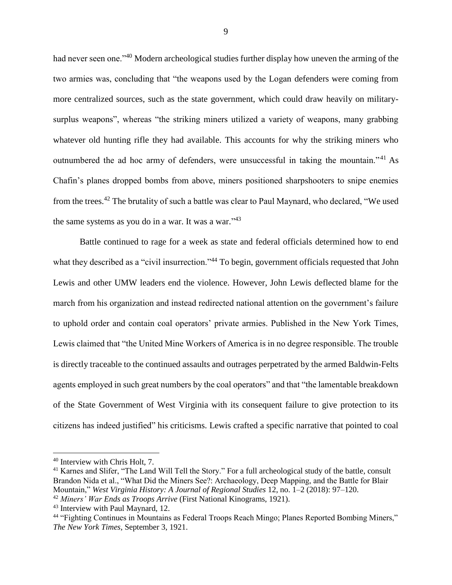had never seen one."<sup>40</sup> Modern archeological studies further display how uneven the arming of the two armies was, concluding that "the weapons used by the Logan defenders were coming from more centralized sources, such as the state government, which could draw heavily on militarysurplus weapons", whereas "the striking miners utilized a variety of weapons, many grabbing whatever old hunting rifle they had available. This accounts for why the striking miners who outnumbered the ad hoc army of defenders, were unsuccessful in taking the mountain."<sup>41</sup> As Chafin's planes dropped bombs from above, miners positioned sharpshooters to snipe enemies from the trees.<sup>42</sup> The brutality of such a battle was clear to Paul Maynard, who declared, "We used the same systems as you do in a war. It was a war."<sup>43</sup>

Battle continued to rage for a week as state and federal officials determined how to end what they described as a "civil insurrection."<sup>44</sup> To begin, government officials requested that John Lewis and other UMW leaders end the violence. However, John Lewis deflected blame for the march from his organization and instead redirected national attention on the government's failure to uphold order and contain coal operators' private armies. Published in the New York Times, Lewis claimed that "the United Mine Workers of America is in no degree responsible. The trouble is directly traceable to the continued assaults and outrages perpetrated by the armed Baldwin-Felts agents employed in such great numbers by the coal operators" and that "the lamentable breakdown of the State Government of West Virginia with its consequent failure to give protection to its citizens has indeed justified" his criticisms. Lewis crafted a specific narrative that pointed to coal

<sup>40</sup> Interview with Chris Holt, 7.

<sup>&</sup>lt;sup>41</sup> Karnes and Slifer, "The Land Will Tell the Story." For a full archeological study of the battle, consult Brandon Nida et al., "What Did the Miners See?: Archaeology, Deep Mapping, and the Battle for Blair Mountain," *West Virginia History: A Journal of Regional Studies* 12, no. 1–2 (2018): 97–120.

<sup>42</sup> *Miners' War Ends as Troops Arrive* (First National Kinograms, 1921).

<sup>43</sup> Interview with Paul Maynard, 12.

<sup>&</sup>lt;sup>44</sup> "Fighting Continues in Mountains as Federal Troops Reach Mingo; Planes Reported Bombing Miners," *The New York Times*, September 3, 1921.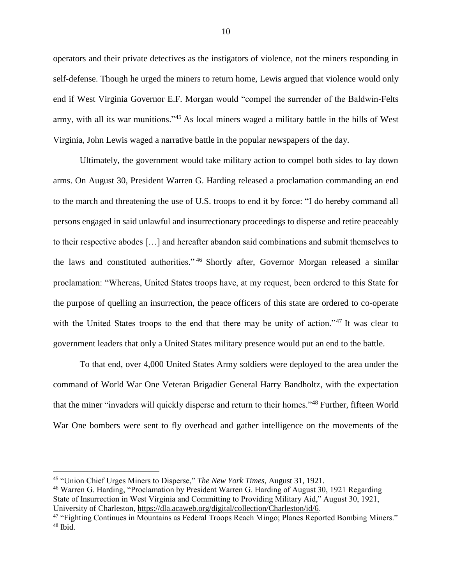operators and their private detectives as the instigators of violence, not the miners responding in self-defense. Though he urged the miners to return home, Lewis argued that violence would only end if West Virginia Governor E.F. Morgan would "compel the surrender of the Baldwin-Felts army, with all its war munitions."<sup>45</sup> As local miners waged a military battle in the hills of West Virginia, John Lewis waged a narrative battle in the popular newspapers of the day.

Ultimately, the government would take military action to compel both sides to lay down arms. On August 30, President Warren G. Harding released a proclamation commanding an end to the march and threatening the use of U.S. troops to end it by force: "I do hereby command all persons engaged in said unlawful and insurrectionary proceedings to disperse and retire peaceably to their respective abodes […] and hereafter abandon said combinations and submit themselves to the laws and constituted authorities." <sup>46</sup> Shortly after, Governor Morgan released a similar proclamation: "Whereas, United States troops have, at my request, been ordered to this State for the purpose of quelling an insurrection, the peace officers of this state are ordered to co-operate with the United States troops to the end that there may be unity of action."<sup>47</sup> It was clear to government leaders that only a United States military presence would put an end to the battle.

To that end, over 4,000 United States Army soldiers were deployed to the area under the command of World War One Veteran Brigadier General Harry Bandholtz, with the expectation that the miner "invaders will quickly disperse and return to their homes."<sup>48</sup> Further, fifteen World War One bombers were sent to fly overhead and gather intelligence on the movements of the

<sup>45</sup> "Union Chief Urges Miners to Disperse," *The New York Times*, August 31, 1921.

<sup>46</sup> Warren G. Harding, "Proclamation by President Warren G. Harding of August 30, 1921 Regarding State of Insurrection in West Virginia and Committing to Providing Military Aid," August 30, 1921, University of Charleston, [https://dla.acaweb.org/digital/collection/Charleston/id/6.](https://dla.acaweb.org/digital/collection/Charleston/id/6)

<sup>&</sup>lt;sup>47</sup> "Fighting Continues in Mountains as Federal Troops Reach Mingo; Planes Reported Bombing Miners." <sup>48</sup> Ibid.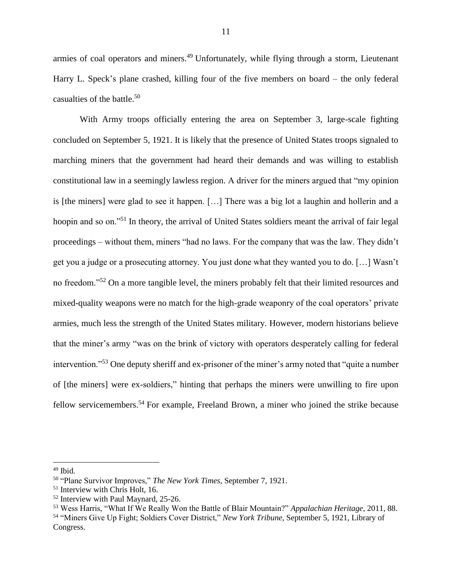armies of coal operators and miners.<sup>49</sup> Unfortunately, while flying through a storm, Lieutenant Harry L. Speck's plane crashed, killing four of the five members on board – the only federal casualties of the battle.<sup>50</sup>

With Army troops officially entering the area on September 3, large-scale fighting concluded on September 5, 1921. It is likely that the presence of United States troops signaled to marching miners that the government had heard their demands and was willing to establish constitutional law in a seemingly lawless region. A driver for the miners argued that "my opinion is [the miners] were glad to see it happen. […] There was a big lot a laughin and hollerin and a hoopin and so on."<sup>51</sup> In theory, the arrival of United States soldiers meant the arrival of fair legal proceedings – without them, miners "had no laws. For the company that was the law. They didn't get you a judge or a prosecuting attorney. You just done what they wanted you to do. […] Wasn't no freedom."<sup>52</sup> On a more tangible level, the miners probably felt that their limited resources and mixed-quality weapons were no match for the high-grade weaponry of the coal operators' private armies, much less the strength of the United States military. However, modern historians believe that the miner's army "was on the brink of victory with operators desperately calling for federal intervention."<sup>53</sup> One deputy sheriff and ex-prisoner of the miner's army noted that "quite a number of [the miners] were ex-soldiers," hinting that perhaps the miners were unwilling to fire upon fellow servicemembers.<sup>54</sup> For example, Freeland Brown, a miner who joined the strike because

 $49$  Ibid.

<sup>50</sup> "Plane Survivor Improves," *The New York Times*, September 7, 1921.

<sup>51</sup> Interview with Chris Holt, 16.

<sup>52</sup> Interview with Paul Maynard, 25-26.

<sup>53</sup> Wess Harris, "What If We Really Won the Battle of Blair Mountain?" *Appalachian Heritage*, 2011, 88. <sup>54</sup> "Miners Give Up Fight; Soldiers Cover District," *New York Tribune*, September 5, 1921, Library of Congress.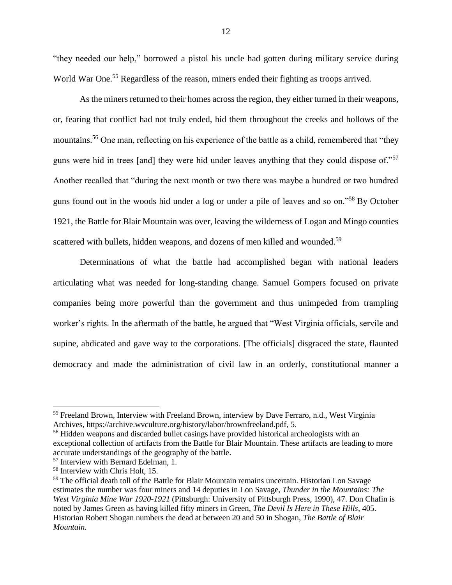"they needed our help," borrowed a pistol his uncle had gotten during military service during World War One.<sup>55</sup> Regardless of the reason, miners ended their fighting as troops arrived.

As the miners returned to their homes across the region, they either turned in their weapons, or, fearing that conflict had not truly ended, hid them throughout the creeks and hollows of the mountains.<sup>56</sup> One man, reflecting on his experience of the battle as a child, remembered that "they guns were hid in trees [and] they were hid under leaves anything that they could dispose of."<sup>57</sup> Another recalled that "during the next month or two there was maybe a hundred or two hundred guns found out in the woods hid under a log or under a pile of leaves and so on."<sup>58</sup> By October 1921, the Battle for Blair Mountain was over, leaving the wilderness of Logan and Mingo counties scattered with bullets, hidden weapons, and dozens of men killed and wounded.<sup>59</sup>

Determinations of what the battle had accomplished began with national leaders articulating what was needed for long-standing change. Samuel Gompers focused on private companies being more powerful than the government and thus unimpeded from trampling worker's rights. In the aftermath of the battle, he argued that "West Virginia officials, servile and supine, abdicated and gave way to the corporations. [The officials] disgraced the state, flaunted democracy and made the administration of civil law in an orderly, constitutional manner a

<sup>55</sup> Freeland Brown, Interview with Freeland Brown, interview by Dave Ferraro, n.d., West Virginia Archives, [https://archive.wvculture.org/history/labor/brownfreeland.pdf,](https://archive.wvculture.org/history/labor/brownfreeland.pdf) 5.

<sup>&</sup>lt;sup>56</sup> Hidden weapons and discarded bullet casings have provided historical archeologists with an exceptional collection of artifacts from the Battle for Blair Mountain. These artifacts are leading to more accurate understandings of the geography of the battle.

<sup>57</sup> Interview with Bernard Edelman, 1.

<sup>58</sup> Interview with Chris Holt, 15.

<sup>&</sup>lt;sup>59</sup> The official death toll of the Battle for Blair Mountain remains uncertain. Historian Lon Savage estimates the number was four miners and 14 deputies in Lon Savage, *Thunder in the Mountains: The West Virginia Mine War 1920-1921* (Pittsburgh: University of Pittsburgh Press, 1990), 47. Don Chafin is noted by James Green as having killed fifty miners in Green, *The Devil Is Here in These Hills*, 405. Historian Robert Shogan numbers the dead at between 20 and 50 in Shogan, *The Battle of Blair Mountain.*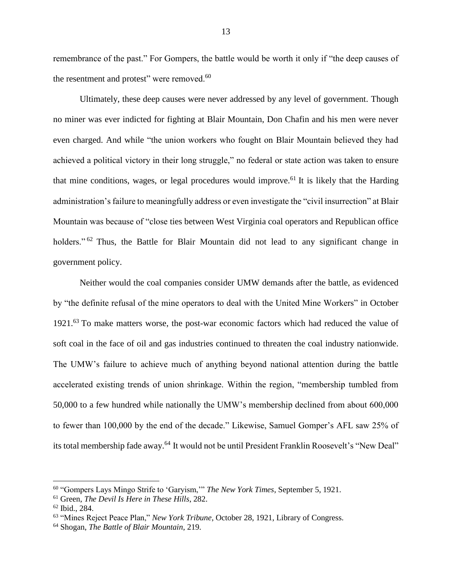remembrance of the past." For Gompers, the battle would be worth it only if "the deep causes of the resentment and protest" were removed.<sup>60</sup>

Ultimately, these deep causes were never addressed by any level of government. Though no miner was ever indicted for fighting at Blair Mountain, Don Chafin and his men were never even charged. And while "the union workers who fought on Blair Mountain believed they had achieved a political victory in their long struggle," no federal or state action was taken to ensure that mine conditions, wages, or legal procedures would improve.<sup>61</sup> It is likely that the Harding administration's failure to meaningfully address or even investigate the "civil insurrection" at Blair Mountain was because of "close ties between West Virginia coal operators and Republican office holders."<sup>62</sup> Thus, the Battle for Blair Mountain did not lead to any significant change in government policy.

Neither would the coal companies consider UMW demands after the battle, as evidenced by "the definite refusal of the mine operators to deal with the United Mine Workers" in October 1921.<sup>63</sup> To make matters worse, the post-war economic factors which had reduced the value of soft coal in the face of oil and gas industries continued to threaten the coal industry nationwide. The UMW's failure to achieve much of anything beyond national attention during the battle accelerated existing trends of union shrinkage. Within the region, "membership tumbled from 50,000 to a few hundred while nationally the UMW's membership declined from about 600,000 to fewer than 100,000 by the end of the decade." Likewise, Samuel Gomper's AFL saw 25% of its total membership fade away.<sup>64</sup> It would not be until President Franklin Roosevelt's "New Deal"

<sup>60</sup> "Gompers Lays Mingo Strife to 'Garyism,'" *The New York Times*, September 5, 1921.

<sup>61</sup> Green, *The Devil Is Here in These Hills*, 282.

<sup>62</sup> Ibid., 284.

<sup>63</sup> "Mines Reject Peace Plan," *New York Tribune*, October 28, 1921, Library of Congress.

<sup>64</sup> Shogan, *The Battle of Blair Mountain*, 219.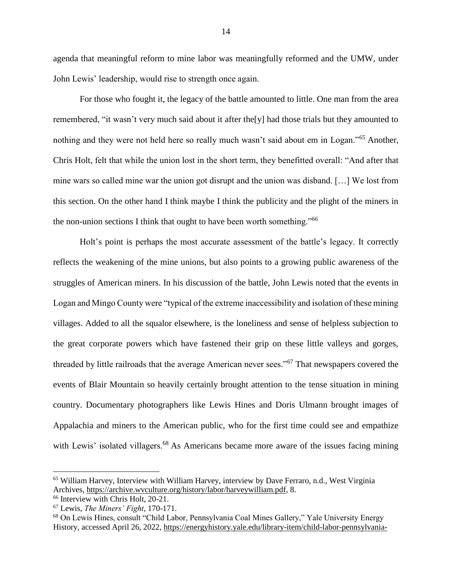agenda that meaningful reform to mine labor was meaningfully reformed and the UMW, under John Lewis' leadership, would rise to strength once again.

For those who fought it, the legacy of the battle amounted to little. One man from the area remembered, "it wasn't very much said about it after the[y] had those trials but they amounted to nothing and they were not held here so really much wasn't said about em in Logan."<sup>65</sup> Another, Chris Holt, felt that while the union lost in the short term, they benefitted overall: "And after that mine wars so called mine war the union got disrupt and the union was disband. […] We lost from this section. On the other hand I think maybe I think the publicity and the plight of the miners in the non-union sections I think that ought to have been worth something."<sup>66</sup>

Holt's point is perhaps the most accurate assessment of the battle's legacy. It correctly reflects the weakening of the mine unions, but also points to a growing public awareness of the struggles of American miners. In his discussion of the battle, John Lewis noted that the events in Logan and Mingo County were "typical of the extreme inaccessibility and isolation of these mining villages. Added to all the squalor elsewhere, is the loneliness and sense of helpless subjection to the great corporate powers which have fastened their grip on these little valleys and gorges, threaded by little railroads that the average American never sees."<sup>67</sup> That newspapers covered the events of Blair Mountain so heavily certainly brought attention to the tense situation in mining country. Documentary photographers like Lewis Hines and Doris Ulmann brought images of Appalachia and miners to the American public, who for the first time could see and empathize with Lewis' isolated villagers.<sup>68</sup> As Americans became more aware of the issues facing mining

<sup>65</sup> William Harvey, Interview with William Harvey, interview by Dave Ferraro, n.d., West Virginia Archives, [https://archive.wvculture.org/history/labor/harveywilliam.pdf,](https://archive.wvculture.org/history/labor/harveywilliam.pdf) 8.

<sup>66</sup> Interview with Chris Holt, 20-21.

<sup>67</sup> Lewis, *The Miners' Fight*, 170-171.

<sup>68</sup> On Lewis Hines, consult "Child Labor, Pennsylvania Coal Mines Gallery," Yale University Energy History, accessed April 26, 2022, [https://energyhistory.yale.edu/library-item/child-labor-pennsylvania-](https://energyhistory.yale.edu/library-item/child-labor-pennsylvania-coal-mines-gallery)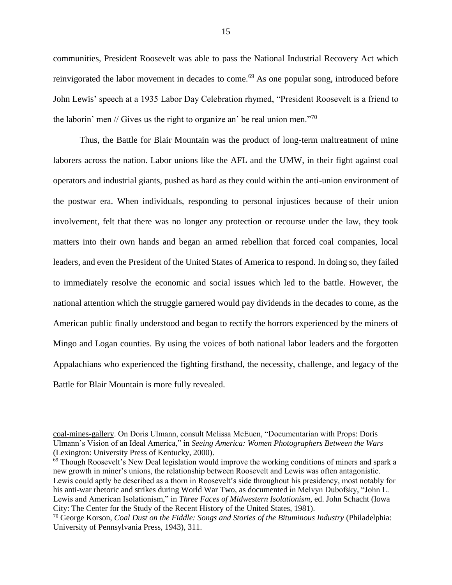communities, President Roosevelt was able to pass the National Industrial Recovery Act which reinvigorated the labor movement in decades to come.<sup>69</sup> As one popular song, introduced before John Lewis' speech at a 1935 Labor Day Celebration rhymed, "President Roosevelt is a friend to the laborin' men // Gives us the right to organize an' be real union men."<sup>70</sup>

Thus, the Battle for Blair Mountain was the product of long-term maltreatment of mine laborers across the nation. Labor unions like the AFL and the UMW, in their fight against coal operators and industrial giants, pushed as hard as they could within the anti-union environment of the postwar era. When individuals, responding to personal injustices because of their union involvement, felt that there was no longer any protection or recourse under the law, they took matters into their own hands and began an armed rebellion that forced coal companies, local leaders, and even the President of the United States of America to respond. In doing so, they failed to immediately resolve the economic and social issues which led to the battle. However, the national attention which the struggle garnered would pay dividends in the decades to come, as the American public finally understood and began to rectify the horrors experienced by the miners of Mingo and Logan counties. By using the voices of both national labor leaders and the forgotten Appalachians who experienced the fighting firsthand, the necessity, challenge, and legacy of the Battle for Blair Mountain is more fully revealed.

[coal-mines-gallery.](https://energyhistory.yale.edu/library-item/child-labor-pennsylvania-coal-mines-gallery) On Doris Ulmann, consult Melissa McEuen, "Documentarian with Props: Doris Ulmann's Vision of an Ideal America," in *Seeing America: Women Photographers Between the Wars* (Lexington: University Press of Kentucky, 2000).

<sup>&</sup>lt;sup>69</sup> Though Roosevelt's New Deal legislation would improve the working conditions of miners and spark a new growth in miner's unions, the relationship between Roosevelt and Lewis was often antagonistic. Lewis could aptly be described as a thorn in Roosevelt's side throughout his presidency, most notably for his anti-war rhetoric and strikes during World War Two, as documented in Melvyn Dubofsky, "John L. Lewis and American Isolationism," in *Three Faces of Midwestern Isolationism*, ed. John Schacht (Iowa City: The Center for the Study of the Recent History of the United States, 1981).

<sup>70</sup> George Korson, *Coal Dust on the Fiddle: Songs and Stories of the Bituminous Industry* (Philadelphia: University of Pennsylvania Press, 1943), 311.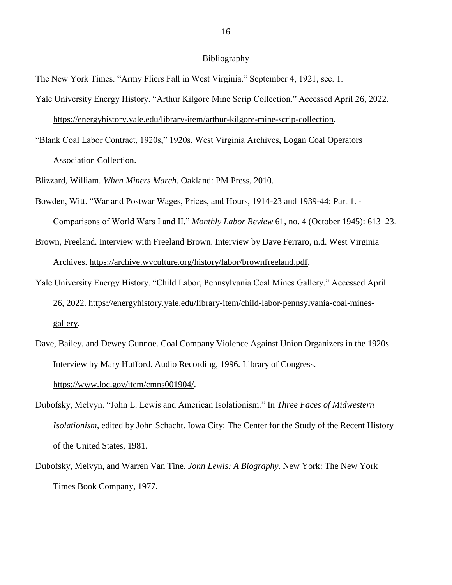#### Bibliography

The New York Times. "Army Fliers Fall in West Virginia." September 4, 1921, sec. 1.

Yale University Energy History. "Arthur Kilgore Mine Scrip Collection." Accessed April 26, 2022.

[https://energyhistory.yale.edu/library-item/arthur-kilgore-mine-scrip-collection.](https://energyhistory.yale.edu/library-item/arthur-kilgore-mine-scrip-collection)

"Blank Coal Labor Contract, 1920s," 1920s. West Virginia Archives, Logan Coal Operators Association Collection.

Blizzard, William. *When Miners March*. Oakland: PM Press, 2010.

- Bowden, Witt. "War and Postwar Wages, Prices, and Hours, 1914-23 and 1939-44: Part 1. Comparisons of World Wars I and II." *Monthly Labor Review* 61, no. 4 (October 1945): 613–23.
- Brown, Freeland. Interview with Freeland Brown. Interview by Dave Ferraro, n.d. West Virginia Archives. [https://archive.wvculture.org/history/labor/brownfreeland.pdf.](https://archive.wvculture.org/history/labor/brownfreeland.pdf)
- Yale University Energy History. "Child Labor, Pennsylvania Coal Mines Gallery." Accessed April 26, 2022. [https://energyhistory.yale.edu/library-item/child-labor-pennsylvania-coal-mines](https://energyhistory.yale.edu/library-item/child-labor-pennsylvania-coal-mines-gallery)[gallery.](https://energyhistory.yale.edu/library-item/child-labor-pennsylvania-coal-mines-gallery)
- Dave, Bailey, and Dewey Gunnoe. Coal Company Violence Against Union Organizers in the 1920s. Interview by Mary Hufford. Audio Recording, 1996. Library of Congress. [https://www.loc.gov/item/cmns001904/.](https://www.loc.gov/item/cmns001904/)
- Dubofsky, Melvyn. "John L. Lewis and American Isolationism." In *Three Faces of Midwestern Isolationism*, edited by John Schacht. Iowa City: The Center for the Study of the Recent History of the United States, 1981.
- Dubofsky, Melvyn, and Warren Van Tine. *John Lewis: A Biography*. New York: The New York Times Book Company, 1977.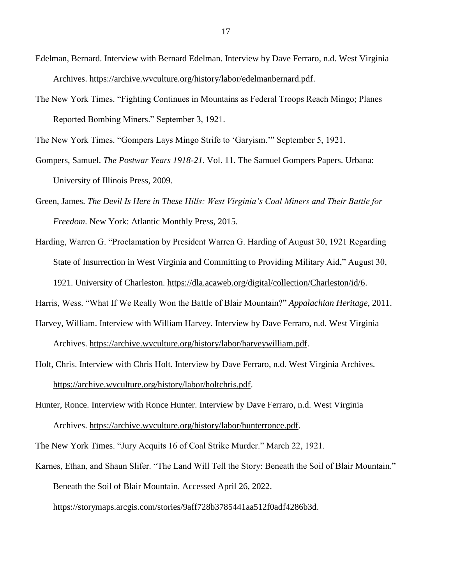- Edelman, Bernard. Interview with Bernard Edelman. Interview by Dave Ferraro, n.d. West Virginia Archives. [https://archive.wvculture.org/history/labor/edelmanbernard.pdf.](https://archive.wvculture.org/history/labor/edelmanbernard.pdf)
- The New York Times. "Fighting Continues in Mountains as Federal Troops Reach Mingo; Planes Reported Bombing Miners." September 3, 1921.

The New York Times. "Gompers Lays Mingo Strife to 'Garyism.'" September 5, 1921.

- Gompers, Samuel. *The Postwar Years 1918-21*. Vol. 11. The Samuel Gompers Papers. Urbana: University of Illinois Press, 2009.
- Green, James. *The Devil Is Here in These Hills: West Virginia's Coal Miners and Their Battle for Freedom*. New York: Atlantic Monthly Press, 2015.
- Harding, Warren G. "Proclamation by President Warren G. Harding of August 30, 1921 Regarding State of Insurrection in West Virginia and Committing to Providing Military Aid," August 30, 1921. University of Charleston. [https://dla.acaweb.org/digital/collection/Charleston/id/6.](https://dla.acaweb.org/digital/collection/Charleston/id/6)

Harris, Wess. "What If We Really Won the Battle of Blair Mountain?" *Appalachian Heritage*, 2011.

Harvey, William. Interview with William Harvey. Interview by Dave Ferraro, n.d. West Virginia

Archives. [https://archive.wvculture.org/history/labor/harveywilliam.pdf.](https://archive.wvculture.org/history/labor/harveywilliam.pdf)

Holt, Chris. Interview with Chris Holt. Interview by Dave Ferraro, n.d. West Virginia Archives. [https://archive.wvculture.org/history/labor/holtchris.pdf.](https://archive.wvculture.org/history/labor/holtchris.pdf)

Hunter, Ronce. Interview with Ronce Hunter. Interview by Dave Ferraro, n.d. West Virginia Archives. [https://archive.wvculture.org/history/labor/hunterronce.pdf.](https://archive.wvculture.org/history/labor/hunterronce.pdf)

The New York Times. "Jury Acquits 16 of Coal Strike Murder." March 22, 1921.

Karnes, Ethan, and Shaun Slifer. "The Land Will Tell the Story: Beneath the Soil of Blair Mountain." Beneath the Soil of Blair Mountain. Accessed April 26, 2022.

[https://storymaps.arcgis.com/stories/9aff728b3785441aa512f0adf4286b3d.](https://storymaps.arcgis.com/stories/9aff728b3785441aa512f0adf4286b3d)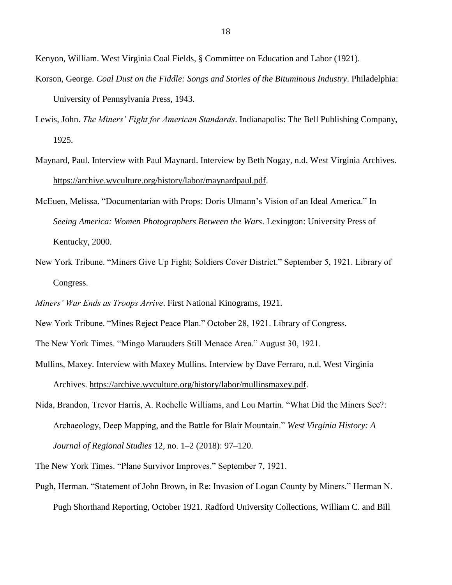Kenyon, William. West Virginia Coal Fields, § Committee on Education and Labor (1921).

- Korson, George. *Coal Dust on the Fiddle: Songs and Stories of the Bituminous Industry*. Philadelphia: University of Pennsylvania Press, 1943.
- Lewis, John. *The Miners' Fight for American Standards*. Indianapolis: The Bell Publishing Company, 1925.
- Maynard, Paul. Interview with Paul Maynard. Interview by Beth Nogay, n.d. West Virginia Archives. [https://archive.wvculture.org/history/labor/maynardpaul.pdf.](https://archive.wvculture.org/history/labor/maynardpaul.pdf)
- McEuen, Melissa. "Documentarian with Props: Doris Ulmann's Vision of an Ideal America." In *Seeing America: Women Photographers Between the Wars*. Lexington: University Press of Kentucky, 2000.
- New York Tribune. "Miners Give Up Fight; Soldiers Cover District." September 5, 1921. Library of Congress.

*Miners' War Ends as Troops Arrive*. First National Kinograms, 1921.

New York Tribune. "Mines Reject Peace Plan." October 28, 1921. Library of Congress.

The New York Times. "Mingo Marauders Still Menace Area." August 30, 1921.

Mullins, Maxey. Interview with Maxey Mullins. Interview by Dave Ferraro, n.d. West Virginia

Archives. [https://archive.wvculture.org/history/labor/mullinsmaxey.pdf.](https://archive.wvculture.org/history/labor/mullinsmaxey.pdf)

Nida, Brandon, Trevor Harris, A. Rochelle Williams, and Lou Martin. "What Did the Miners See?: Archaeology, Deep Mapping, and the Battle for Blair Mountain." *West Virginia History: A Journal of Regional Studies* 12, no. 1–2 (2018): 97–120.

The New York Times. "Plane Survivor Improves." September 7, 1921.

Pugh, Herman. "Statement of John Brown, in Re: Invasion of Logan County by Miners." Herman N. Pugh Shorthand Reporting, October 1921. Radford University Collections, William C. and Bill